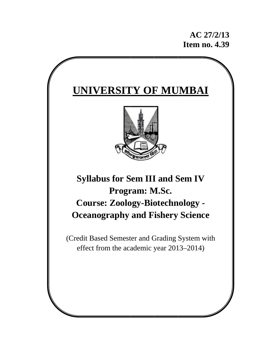**AC 27/2/13 39Item no. 4.39**

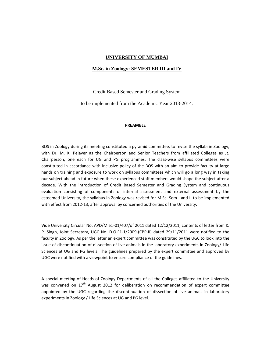#### **UNIVERSITY OF MUMBAI**

#### **M.Sc. in Zoology: SEMESTER III and IV**

Credit Based Semester and Grading System

to be implemented from the Academic Year 2013-2014.

#### **PREAMBLE**

BOS in Zoology during its meeting constituted a pyramid committee, to revise the syllabi in Zoology, with Dr. M. K. Pejaver as the Chairperson and Senior Teachers from affiliated Colleges as Jt. Chairperson, one each for UG and PG programmes. The class-wise syllabus committees were constituted in accordance with inclusive policy of the BOS with an aim to provide faculty at large hands on training and exposure to work on syllabus committees which will go a long way in taking our subject ahead in future when these experienced staff members would shape the subject after a decade. With the introduction of Credit Based Semester and Grading System and continuous evaluation consisting of components of internal assessment and external assessment by the esteemed University, the syllabus in Zoology was revised for M.Sc. Sem I and II to be implemented with effect from 2012-13, after approval by concerned authorities of the University.

Vide University Circular No. APD/Misc.‐01/407/of 2011 dated 12/12/2011, contents of letter from K. P. Singh, Joint Secretary, UGC No. D.O.F1‐1/2009‐(CPP‐II) dated 29/11/2011 were notified to the faculty in Zoology. As per the letter an expert committee was constituted by the UGC to look into the issue of discontinuation of dissection of live animals in the laboratory experiments in Zoology/ Life Sciences at UG and PG levels. The guidelines prepared by the expert committee and approved by UGC were notified with a viewpoint to ensure compliance of the guidelines.

A special meeting of Heads of Zoology Departments of all the Colleges affiliated to the University was convened on 17<sup>th</sup> August 2012 for deliberation on recommendation of expert committee appointed by the UGC regarding the discontinuation of dissection of live animals in laboratory experiments in Zoology / Life Sciences at UG and PG level.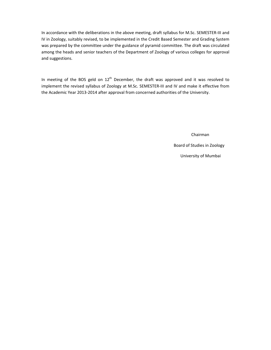In accordance with the deliberations in the above meeting, draft syllabus for M.Sc. SEMESTER‐III and IV in Zoology, suitably revised, to be implemented in the Credit Based Semester and Grading System was prepared by the committee under the guidance of pyramid committee. The draft was circulated among the heads and senior teachers of the Department of Zoology of various colleges for approval and suggestions.

In meeting of the BOS geld on  $12<sup>th</sup>$  December, the draft was approved and it was resolved to implement the revised syllabus of Zoology at M.Sc. SEMESTER‐III and IV and make it effective from the Academic Year 2013‐2014 after approval from concerned authorities of the University.

Chairman

Board of Studies in Zoology

University of Mumbai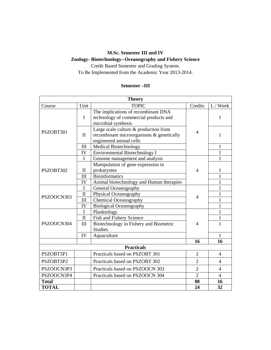# **M.Sc. Semester III and IV**

# **Zoology- Biotechnology--Oceanography and Fishery Science**

Credit Based Semester and Grading System. To Be Implemented from the Academic Year 2013-2014.

## **Semester –III**

| <b>Theory</b>                                                   |              |                                                                                                              |                |                          |  |
|-----------------------------------------------------------------|--------------|--------------------------------------------------------------------------------------------------------------|----------------|--------------------------|--|
| Course                                                          | Unit         | <b>TOPIC</b>                                                                                                 | Credits        | L / Week                 |  |
|                                                                 | $\mathbf I$  | The implications of recombinant DNA<br>technology of commercial products and<br>microbial synthesis          |                | 1                        |  |
| PSZOBT301                                                       | $\mathbf{I}$ | Large scale culture & production from<br>recombinant microorganisms & genetically<br>engineered animal cells | $\overline{4}$ | 1                        |  |
|                                                                 | III          | <b>Medical Biotechnology</b>                                                                                 |                | 1                        |  |
|                                                                 | IV           | Environmental Biotechnology I                                                                                | 1              |                          |  |
|                                                                 | $\mathbf I$  | Genome management and analysis                                                                               |                | 1                        |  |
|                                                                 |              | Manipulation of gene expression in                                                                           |                |                          |  |
| PSZOBT302                                                       | $\mathbf{I}$ | prokaryotes                                                                                                  | $\overline{4}$ | 1                        |  |
|                                                                 | III          | <b>Bioinformatics</b>                                                                                        |                | 1                        |  |
|                                                                 | IV           | Animal biotechnology and Human therapies                                                                     |                | $\mathbf 1$              |  |
|                                                                 | I            | General Oceanography                                                                                         |                | 1                        |  |
| PSZOOCN303                                                      | $\mathbf{I}$ | Physical Oceanography                                                                                        | $\overline{4}$ | $\mathbf{1}$             |  |
|                                                                 | III          | <b>Chemical Oceanography</b>                                                                                 |                | 1                        |  |
|                                                                 | IV           | <b>Biological Oceanography</b>                                                                               |                | 1                        |  |
|                                                                 | $\mathbf{I}$ | Planktology                                                                                                  |                | $\mathbf{1}$             |  |
|                                                                 | $\mathbf{I}$ | Fish and Fishery Science                                                                                     |                | 1                        |  |
| PSZOOCN304                                                      | III          | Biotechnology in Fishery and Biometric                                                                       | $\overline{4}$ | 1                        |  |
|                                                                 |              | <b>Studies</b>                                                                                               |                |                          |  |
|                                                                 | IV           | Aquaculture                                                                                                  |                | $\mathbf{1}$             |  |
| 16<br><b>Practicals</b>                                         |              | 16                                                                                                           |                |                          |  |
|                                                                 |              |                                                                                                              |                |                          |  |
| PSZOBT3P1                                                       |              | Practicals based on PSZOBT 301                                                                               | $\overline{2}$ | $\overline{\mathcal{A}}$ |  |
| PSZOBT3P2                                                       |              | Practicals based on PSZOBT 302                                                                               | $\overline{2}$ | 4                        |  |
| $\overline{2}$<br>PSZOOCN3P3<br>Practicals based on PSZOOCN 303 |              |                                                                                                              | 4              |                          |  |
| PSZOOCN3P4                                                      |              | Practicals based on PSZOOCN 304                                                                              | $\overline{2}$ | 4                        |  |
| <b>Total</b>                                                    |              |                                                                                                              | 08             | 16                       |  |
| <b>TOTAL</b>                                                    |              |                                                                                                              | 24             | 32                       |  |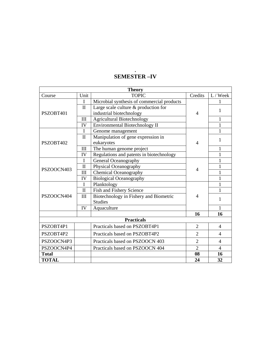#### **Theory**  Course | Unit | TOPIC | Credits | L / Week PSZOBT401 I Microbial synthesis of commercial products 4 1 II Large scale culture & production for Earge scale culture  $\alpha$  production for  $\begin{vmatrix} 4 & 1 \end{vmatrix}$ III Agricultural Biotechnology 1 IV Environmental Biotechnology II 1 PSZOBT402 I Genome management 4 1 II Manipulation of gene expression in  $\begin{vmatrix} 1 & 4 \end{vmatrix}$  1 III The human genome project  $\begin{vmatrix} 1 & 1 \\ 1 & 1 \end{vmatrix}$ IV Regulations and patents in biotechnology 1 PSZOOCN403 I General Oceanography 4 1 II Physical Oceanography  $1 \t 1$ III Chemical Oceanography  $\begin{array}{ccc} \uparrow & \uparrow & \downarrow & \downarrow \end{array}$  1 IV Biological Oceanography 1 PSZOOCN404 I Planktology 4 1 II Fish and Fishery Science 1 III Biotechnology in Fishery and Biometric  $\begin{vmatrix} 4 & 1 \end{vmatrix}$  1 IV Aquaculture 1 **16** 16 16 **Practicals**  PSZOBT4P1 Practicals based on PSZOBT4P1 2 4 PSZOBT4P2 | Practicals based on PSZOBT4P2 | 2 | 4 PSZOOCN4P3 | Practicals based on PSZOOCN 403 | 2 | 4 PSZOOCN4P4 Practicals based on PSZOOCN 404 2 4 Total 16 **TOTAL 24 32**

### **. SEMESTER –IV**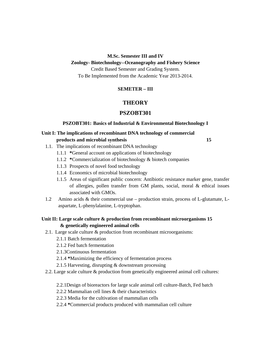**M.Sc. Semester III and IV** 

#### **Zoology- Biotechnology--Oceanography and Fishery Science**

Credit Based Semester and Grading System.

To Be Implemented from the Academic Year 2013-2014.

### **SEMETER – III**

# **THEORY**

### **PSZOBT301**

#### **PSZOBT301: Basics of Industrial & Environmental Biotechnology I**

### **Unit I: The implications of recombinant DNA technology of commercial products and microbial synthesis 15**

- 1.1. The implications of recombinant DNA technology
	- 1.1.1 **\***General account on applications of biotechnology
	- 1.1.2 **\***Commercialization of biotechnology & biotech companies
	- 1.1.3 Prospects of novel food technology
	- 1.1.4 Economics of microbial biotechnology
	- 1.1.5 Areas of significant public concern: Antibiotic resistance marker gene, transfer of allergies, pollen transfer from GM plants, social, moral & ethical issues associated with GMOs.
- 1.2 Amino acids & their commercial use production strain, process of L-glutamate, Laspartate, L-phenylalanine, L-tryptophan.

### **Unit II: Large scale culture & production from recombinant microorganisms 15 & genetically engineered animal cells**

- 2.1. Large scale culture & production from recombinant microorganisms:
	- 2.1.1 Batch fermentation
	- 2.1.2 Fed batch fermentation
	- 2.1.3Continuous fermentation
	- 2.1.4 **\***Maximizing the efficiency of fermentation process
	- 2.1.5 Harvesting, disrupting & downstream processing
- 2.2. Large scale culture & production from genetically engineered animal cell cultures:
	- 2.2.1Design of bioreactors for large scale animal cell culture-Batch, Fed batch
	- 2.2.2 Mammalian cell lines & their characteristics
	- 2.2.3 Media for the cultivation of mammalian cells
	- 2.2.4 **\***Commercial products produced with mammalian cell culture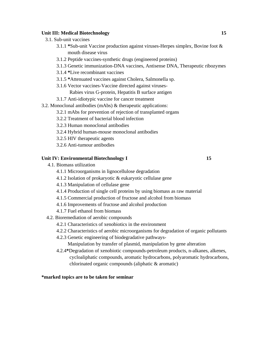#### **Unit III: Medical Biotechnology 15**

- 3.1. Sub-unit vaccines
	- 3.1.1 **\***Sub-unit Vaccine production against viruses-Herpes simplex, Bovine foot & mouth disease virus
	- 3.1.2 Peptide vaccines-synthetic drugs (engineered proteins)
	- 3.1.3 Genetic immunization-DNA vaccines, Antisense DNA, Therapeutic ribozymes
	- 3.1.4 **\***Live recombinant vaccines
	- 3.1.5 **\***Attenuated vaccines against Cholera, Salmonella sp.
	- 3.1.6 Vector vaccines-Vaccine directed against viruses-Rabies virus G-protein, Hepatitis B surface antigen
	- 3.1.7 Anti-idiotypic vaccine for cancer treatment
- 3.2. Monoclonal antibodies (mAbs) & therapeutic applications:
	- 3.2.1 mAbs for prevention of rejection of transplanted organs
	- 3.2.2 Treatment of bacterial blood infection
	- 3.2.3 Human monoclonal antibodies
	- 3.2.4 Hybrid human-mouse monoclonal antibodies
	- 3.2.5 HIV therapeutic agents
	- 3.2.6 Anti-tumour antibodies

### Unit IV: Environmental Biotechnology I 15

- 4.1. Biomass utilization
	- 4.1.1 Microorganisms in lignocellulose degradation
	- 4.1.2 Isolation of prokaryotic & eukaryotic cellulase gene
	- 4.1.3 Manipulation of cellulase gene
	- 4.1.4 Production of single cell proteins by using biomass as raw material
	- 4.1.5 Commercial production of fructose and alcohol from biomass
	- 4.1.6 Improvements of fructose and alcohol production
	- 4.1.7 Fuel ethanol from biomass
- 4.2. Bioremediation of aerobic compounds
	- 4.2.1 Characteristics of xenobiotics in the environment
	- 4.2.2 Characteristics of aerobic microorganisms for degradation of organic pollutants
	- 4.2.3 Genetic engineering of biodegradative pathways-

Manipulation by transfer of plasmid, manipulation by gene alteration

4.2.4**\***Degradation of xenobiotic compounds-petroleum products, n-alkanes, alkenes, cycloaliphatic compounds, aromatic hydrocarbons, polyaromatic hydrocarbons, chlorinated organic compounds (aliphatic & aromatic)

#### **\*marked topics are to be taken for seminar**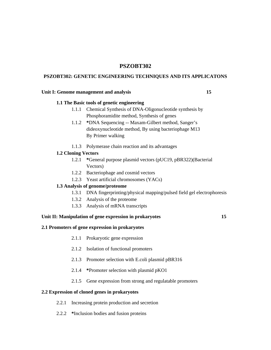## **PSZOBT302**

#### **PSZOBT302: GENETIC ENGINEERING TECHNIQUES AND ITS APPLICATONS**

#### Unit I: Genome management and analysis **15**

#### **1.1 The Basic tools of genetic engineering**

- 1.1.1 Chemical Synthesis of DNA-Oligonucleotide synthesis by Phosphoramidite method, Synthesis of genes
- 1.1.2 **\***DNA Sequencing -- Maxam-Gilbert method, Sanger's dideoxynucleotide method, By using bacteriophage M13 By Primer walking
- 1.1.3 Polymerase chain reaction and its advantages

### **1.2 Cloning Vectors**

- 1.2.1 **\***General purpose plasmid vectors (pUC19, pBR322)(Bacterial Vectors)
- 1.2.2 Bacteriophage and cosmid vectors
- 1.2.3 Yeast artificial chromosomes (YACs)

#### **1.3 Analysis of genome/proteome**

- 1.3.1 DNA fingerprinting/physical mapping/pulsed field gel electrophoresis
- 1.3.2 Analysis of the proteome
- 1.3.3 Analysis of mRNA transcripts

### **Unit II: Manipulation of gene expression in prokaryotes 15**

#### **2.1 Promoters of gene expression in prokaryotes**

- 2.1.1 Prokaryotic gene expression
- 2.1.2 Isolation of functional promoters
- 2.1.3 Promoter selection with E.coli plasmid pBR316
- 2.1.4 **\***Promoter selection with plasmid pKO1
- 2.1.5 Gene expression from strong and regulatable promoters

#### **2.2 Expression of cloned genes in prokaryotes**

- 2.2.1 Increasing protein production and secretion
- 2.2.2 **\***Inclusion bodies and fusion proteins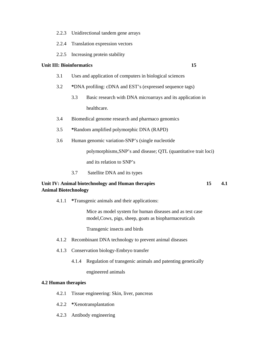- 2.2.3 Unidirectional tandem gene arrays
- 2.2.4 Translation expression vectors
- 2.2.5 Increasing protein stability

#### **Unit III: Bioinformatics** 15

- 3.1 Uses and application of computers in biological sciences
- 3.2 **\***DNA profiling: cDNA and EST's (expressed sequence tags)
	- 3.3 Basic research with DNA microarrays and its application in healthcare.
- 3.4 Biomedical genome research and pharmaco genomics
- 3.5 **\***Random amplified polymorphic DNA (RAPD)
- 3.6 Human genomic variation-SNP's (single nucleotide

polymorphisms,SNP's and disease; QTL (quantitative trait loci)

and its relation to SNP's

3.7 Satellite DNA and its types

### **Unit IV: Animal biotechnology and Human therapies 15 4.1 Animal Biotechnology**

4.1.1 **\***Transgenic animals and their applications:

Mice as model system for human diseases and as test case model,Cows, pigs, sheep, goats as biopharmaceuticals

Transgenic insects and birds

- 4.1.2 Recombinant DNA technology to prevent animal diseases
- 4.1.3 Conservation biology-Embryo transfer
	- 4.1.4 Regulation of transgenic animals and patenting genetically

engineered animals

#### **4.2 Human therapies**

- 4.2.1 Tissue engineering: Skin, liver, pancreas
- 4.2.2 **\***Xenotransplantation
- 4.2.3 Antibody engineering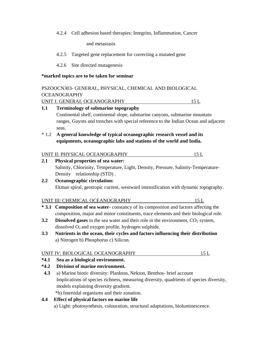4.2.4 Cell adhesion based therapies: Integrins, Inflammation, Cancer

and metastasis

4.2.5 Targeted gene replacement for correcting a mutated gene

4.2.6 Site directed mutagenesis

#### **\*marked topics are to be taken for seminar**

seas.

# PSZOOCN303- GENERAL, PHYSICAL, CHEMICAL AND BIOLOGICAL OCEANOGRAPHY UNIT I: GENERAL OCEANOGRAPHY 15 L **1.1 Terminology of submarine topography**  Continental shelf, continental slope, submarine canyons, submarine mountain ranges, Guyots and trenches with special reference to the Indian Ocean and adjacent

# \* 1.2 **A general knowledge of typical oceanographic research vessel and its equipments, oceanographic labs and stations of the world and India.**

| UNIT II: PHYSICAL OCEANOGRAPHY |  |
|--------------------------------|--|
|--------------------------------|--|

# **2.1 Physical properties of sea water:** Salinity, Chlorinity, Temperature, Light, Density, Pressure, Salinity-Temperature- Density relationship (STD). **2.2 Oceanographic circulation:**

# Ekman spiral, geotropic current, westward intensification with dynamic topography.

### UNIT III: CHEMICAL OCEANOGRAPHY 15 L

- **\* 3.1 Composition of sea water-** constancy of its composition and factors affecting the composition, major and minor constituents, trace elements and their biological role.
- **3.2** Dissolved gases in the sea water and their role in the environment, CO<sub>2</sub> system, dissolved  $O_2$  and oxygen profile, hydrogen sulphide.
- **3.3 Nutrients in the ocean, their cycles and factors influencing their distribution**  a) Nitrogen b) Phosphorus c) Silicon.

#### UNIT IV: BIOLOGICAL OCEANOGRAPHY 15 L

### **\*4.1 Sea as a biological environment.**

### **\*4.2 Division of marine environment.**

 **4.3** a) Marine biotic diversity: Plankton, Nekton, Benthos- brief account Implications of species richness, measuring diversity, quadrients of species diversity, models explaining diversity gradient.

\*b) Intertidal organisms and their zonation.

### **4.4 Effect of physical factors on marine life**

a) Light: photosynthesis, colouration, structural adaptations, bioluminescence.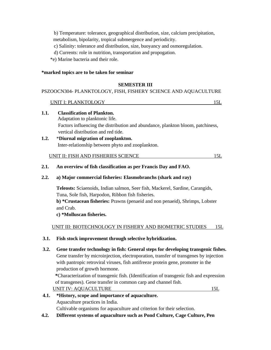b) Temperature: tolerance, geographical distribution, size, calcium precipitation, metabolism, bipolarity, tropical submergence and periodicity.

- c) Salinity: tolerance and distribution, size, buoyancy and osmoregulation.
- d) Currents: role in nutrition, transportation and propogation.
- \*e) Marine bacteria and their role.

**1.1. Classification of Plankton.**

### **\*marked topics are to be taken for seminar**

### **SEMESTER III**

### PSZOOCN304- PLANKTOLOGY, FISH, FISHERY SCIENCE AND AQUACULTURE

## UNIT I: PLANKTOLOGY 15L

| .    |                                                                                 |  |
|------|---------------------------------------------------------------------------------|--|
|      | Adaptation to planktonic life.                                                  |  |
|      | Factors influencing the distribution and abundance, plankton bloom, patchiness, |  |
|      | vertical distribution and red tide.                                             |  |
| 1.2. | *Diurnal migration of zooplankton.                                              |  |
|      | Inter-relationship between phyto and zooplankton.                               |  |
|      |                                                                                 |  |
|      | UNIT II: FISH AND FISHERIES SCIENCE                                             |  |

### **2.1. An overview of fish classification as per Francis Day and FAO.**

### **2.2. a) Major commercial fisheries: Elasmobranchs (shark and ray)**

 **Teleosts:** Sciaenoids, Indian salmon, Seer fish, Mackerel, Sardine, Carangids, Tuna, Sole fish, Harpodon, Ribbon fish fisheries.

 **b) \*Crustacean fisheries:** Prawns (penaeid and non penaeid), Shrimps, Lobster and Crab.

### **c) \*Molluscan fisheries.**

UNIT III: BIOTECHNOLOGY IN FISHERY AND BIOMETRIC STUDIES 15L

#### **3.1. Fish stock improvement through selective hybridization.**

 **3.2. Gene transfer technology in fish: General steps for developing transgenic fishes.**  Gene transfer by microinjection, electroporation, transfer of transgenes by injection with pantropic retroviral viruses, fish antifreeze protein gene, promoter in the production of growth hormone. **\***Characterization of transgenic fish. (Identification of transgenic fish and expression

 of transgenes). Gene transfer in common carp and channel fish. UNIT IV: AQUACULTURE 15L

- **4.1. \*History, scope and importance of aquaculture.**  Aquaculture practices in India. Cultivable organisms for aquaculture and criterion for their selection.
- **4.2. Different systems of aquaculture such as Pond Culture, Cage Culture, Pen**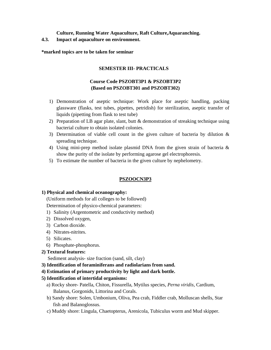### **Culture, Running Water Aquaculture, Raft Culture,Aquaranching.**

**4.3. Impact of aquaculture on environment.** 

**\*marked topics are to be taken for seminar** 

### **SEMESTER III- PRACTICALS**

# **Course Code PSZOBT3P1 & PSZOBT3P2 (Based on PSZOBT301 and PSZOBT302)**

- 1) Demonstration of aseptic technique: Work place for aseptic handling, packing glassware (flasks, test tubes, pipettes, petridish) for sterilization, aseptic transfer of liquids (pipetting from flask to test tube)
- 2) Preparation of LB agar plate, slant, butt & demonstration of streaking technique using bacterial culture to obtain isolated colonies.
- 3) Determination of viable cell count in the given culture of bacteria by dilution & spreading technique.
- 4) Using mini-prep method isolate plasmid DNA from the given strain of bacteria & show the purity of the isolate by performing agarose gel electrophoresis.
- 5) To estimate the number of bacteria in the given culture by nephelometry.

### **PSZOOCN3P3**

#### **1) Physical and chemical oceanography:**

(Uniform methods for all colleges to be followed)

Determination of physico-chemical parameters:

- 1) Salinity (Argentometric and conductivity method)
- 2) Dissolved oxygen,
- 3) Carbon dioxide.
- 4) Nitrates-nitrites.
- 5) Silicates.
- 6) Phosphate-phosphorus.

#### **2) Textural features:**

Sediment analysis- size fraction (sand, silt, clay)

- **3) Identification of foraminiferans and radiolarians from sand.**
- **4) Estimation of primary productivity by light and dark bottle.**
- **5) Identification of intertidal organisms:** 
	- a) Rocky shore- Patella, Chiton, Fissurella, Mytilus species, *Perna viridis,* Cardium, Balanus, Gorgonids, Littorina and Corals.
	- b) Sandy shore: Solen, Umbonium, Oliva, Pea crab, Fiddler crab, Molluscan shells, Star fish and Balanoglossus.
	- c) Muddy shore: Lingula, Chaetopterus, Arenicola, Tubiculus worm and Mud skipper.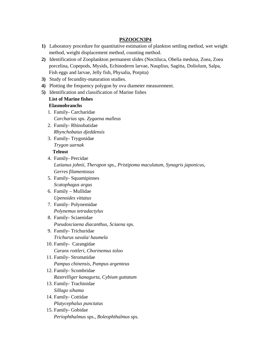### **PSZOOCN3P4**

- **1)** Laboratory procedure for quantitative estimation of plankton settling method, wet weight method, weight displacement method, counting method.
- **2)** Identification of Zooplankton permanent slides (Noctiluca, Obelia medusa, Zoea, Zoea porcelina, Copepods, Mysids, Echinoderm larvae, Nauplius, Sagitta, Doliolum, Salpa, Fish eggs and larvae, Jelly fish, Physalia, Porpita)
- **3)** Study of fecundity-maturation studies.
- **4)** Plotting the frequency polygon by ova diameter measurement.
- **5)** Identification and classification of Marine fishes

# **List of Marine fishes**

### **Elasmobranchs**

- 1. Family- Carcharidae *Carcharias* sps. *Zygaena malleus*
- 2. Family- Rhinobatidae *Rhynchobatus djeddensis*
- 3. Family- Trygonidae *Trygon uarnak*  **Teleost**
- 4. Family- Percidae *Lutianus johnii, Therapon* sps., *Pristipoma maculatum, Synagris japonicus, Gerres filamentosus*
- 5. Family- Squamipinnes *Scatophagus argus*
- 6. Family Mullidae *Upenoides vittatus*
- 7. Family- Polynemidae *Polynemus tetradactylus*
- 8. Family- Sciaenidae *Pseudosciaena diacanthus, Sciaena* sps.
- 9. Family- Trichuridae *Trichurus savala/ haumela*
- 10. Family- Carangidae *Caranx rottleri, Chorinemus toloo*
- 11. Family- Stromatidae *Pampus chinensis, Pampus argenteus*
- 12. Family- Scombridae *Rastrelliger kanagurta, Cybium guttatum*
- 13. Family- Trachinidae *Sillago sihama*
- 14. Family- Cottidae *Platycephalus punctatus*
- 15. Family- Gobidae *Periophthalmus* sps., *Boleophthalmus* sps.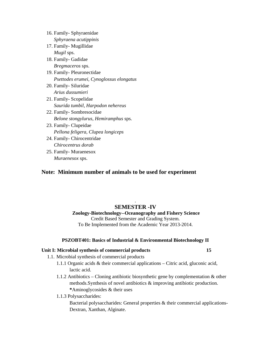| 16. Family - Sphyraenidae               |  |
|-----------------------------------------|--|
| Sphyraena acutippinis                   |  |
| 17. Family - Mugillidae                 |  |
| <i>Mugil</i> sps.                       |  |
| 18. Family - Gadidae                    |  |
| <i>Bregmaceros</i> sps.                 |  |
| 19. Family - Pleuronectidae             |  |
| Psettodes erumei, Cynoglossus elongatus |  |
| 20. Family- Siluridae                   |  |
| Arius dussumieri                        |  |
| 21. Family - Scopelidae                 |  |
| Saurida tumbil, Harpodon nehereus       |  |
| 22. Family-Sombresocidae                |  |
| Belone stongylurus, Hemiramphus sps.    |  |
| 23. Family - Clupeidae                  |  |
| Pellona feligera, Clupea longiceps      |  |
| 24. Family- Chirocentridae              |  |
| Chirocentrus dorab                      |  |
| AE B.  : 1 M.                           |  |

 25. Family- Muraenesox *Muraenesox* sps.

## **Note: Minimum number of animals to be used for experiment**

### . **SEMESTER -IV**

 **Zoology-Biotechnology--Oceanography and Fishery Science**  Credit Based Semester and Grading System. To Be Implemented from the Academic Year 2013-2014.

#### **PSZOBT401: Basics of Industrial & Environmental Biotechnology II**

### **Unit I: Microbial synthesis of commercial products 15**

- 1.1. Microbial synthesis of commercial products
	- 1.1.1 Organic acids & their commercial applications Citric acid, gluconic acid, lactic acid.
	- 1.1.2 Antibiotics Cloning antibiotic biosynthetic gene by complementation & other methods.Synthesis of novel antibiotics & improving antibiotic production. **\***Aminoglycosides & their uses
	- 1.1.3 Polysaccharides:

 Bacterial polysaccharides: General properties & their commercial applications-Dextran, Xanthan, Alginate.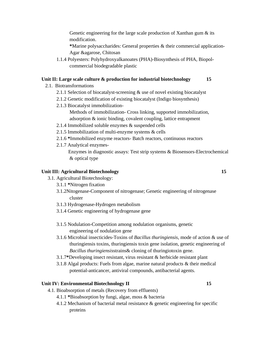Genetic engineering for the large scale production of Xanthan gum  $\&$  its modification.

**\***Marine polysaccharides: General properties & their commercial application-Agar &agarose, Chitosan

1.1.4 Polyesters: Polyhydroxyalkanoates (PHA)-Biosynthesis of PHA, Biopolcommercial biodegradable plastic

# **Unit II: Large scale culture & production for industrial biotechnology 15**

- 2.1. Biotransformations
	- 2.1.1 Selection of biocatalyst-screening & use of novel existing biocatalyst
	- 2.1.2 Genetic modification of existing biocatalyst (Indigo biosynthesis)
	- 2.1.3 Biocatalyst immobilization- Methods of immobilization- Cross linking, supported immobilization, adsorption & ionic binding, covalent coupling, lattice entrapment
	- 2.1.4 Immobilized soluble enzymes & suspended cells
	- 2.1.5 Immobilization of multi-enzyme systems & cells
	- 2.1.6 **\***Immobilized enzyme reactors- Batch reactors, continuous reactors
	- 2.1.7 Analytical enzymes-

 Enzymes in diagnostic assays: Test strip systems & Biosensors-Electrochemical & optical type

### **Unit III: Agricultural Biotechnology 15**

- 3.1. Agricultural Biotechnology:
	- 3.1.1 **\***Nitrogen fixation
	- 3.1.2Nitogenase-Component of nitrogenase; Genetic engineering of nitrogenase cluster
	- 3.1.3 Hydrogenase-Hydrogen metabolism
	- 3.1.4 Genetic engineering of hydrogenase gene
	- 3.1.5 Nodulation-Competition among nodulation organisms, genetic engineering of nodulation gene
	- 3.1.6 Microbial insecticides-Toxins of *Bacillus thuringiensis*, mode of action & use of thuringiensis toxins, thuringiensis toxin gene isolation, genetic engineering of *Bacillus thuringiensis*strains& cloning of thuringiotoxin gene.
	- 3.1.7**\***Developing insect resistant, virus resistant & herbicide resistant plant
	- 3.1.8 Algal products: Fuels from algae, marine natural products & their medical potential-anticancer, antiviral compounds, antibacterial agents.

### **Unit IV: Environmental Biotechnology II** 15

- 4.1. Bioabsorption of metals (Recovery from effluents)
	- 4.1.1 **\***Bioabsorption by fungi, algae, moss & bacteria
	- 4.1.2 Mechanism of bacterial metal resistance & genetic engineering for specific proteins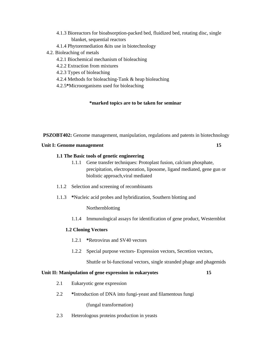- 4.1.3 Bioreactors for bioabsorption-packed bed, fluidized bed, rotating disc, single blanket, sequential reactors
- 4.1.4 Phytoremediation &its use in biotechnology
- 4.2. Bioleaching of metals
	- 4.2.1 Biochemical mechanism of bioleaching
	- 4.2.2 Extraction from mixtures
	- 4.2.3 Types of bioleaching
	- 4.2.4 Methods for bioleaching-Tank & heap bioleaching
	- 4.2.5**\***Microorganisms used for bioleaching

#### **\*marked topics are to be taken for seminar**

**PSZOBT402:** Genome management, manipulation, regulations and patents in biotechnology

#### **Unit I: Genome management** 15

#### **1.1 The Basic tools of genetic engineering**

- 1.1.1 Gene transfer techniques: Protoplast fusion, calcium phosphate, precipitation, electroporation, liposome, ligand mediated, gene gun or biolistic approach,viral mediated
- 1.1.2 Selection and screening of recombinants
- 1.1.3 **\***Nucleic acid probes and hybridization, Southern blotting and

Northernblotting

1.1.4 Immunological assays for identification of gene product, Westernblot

#### **1.2 Cloning Vectors**

- 1.2.1 **\***Retrovirus and SV40 vectors
- 1.2.2 Special purpose vectors- Expression vectors, Secretion vectors,

Shuttle or bi-functional vectors, single stranded phage and phagemids

#### **Unit II: Manipulation of gene expression in eukaryotes 15**

- 2.1 Eukaryotic gene expression
- 2.2 **\***Introduction of DNA into fungi-yeast and filamentous fungi

(fungal transformation)

2.3 Heterologous proteins production in yeasts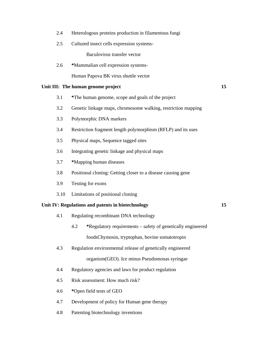| Heterologous proteins production in filamentous fungi |  |  |  |
|-------------------------------------------------------|--|--|--|
|                                                       |  |  |  |

2.5 Cultured insect cells expression systems-

Baculovirus transfer vector

2.6 **\***Mammalian cell expression systems-

Human Papova BK virus shuttle vector

### Unit III: The human genome project 15

- 3.1 **\***The human genome, scope and goals of the project
- 3.2 Genetic linkage maps, chromosome walking, restriction mapping
- 3.3 Polymorphic DNA markers
- 3.4 Restriction fragment length polymorphism (RFLP) and its uses
- 3.5 Physical maps, Sequence tagged sites
- 3.6 Integrating genetic linkage and physical maps
- 3.7 **\***Mapping human diseases
- 3.8 Positional cloning: Getting closer to a disease causing gene
- 3.9 Testing for exons
- 3.10 Limitations of positional cloning

### **Unit IV: Regulations and patents in biotechnology 15**

- 4.1 Regulating recombinant DNA technology
	- 4.2 **\***Regulatory requirements safety of genetically engineered foodsChymosin, tryptophan, bovine somatotropin
- 4.3 Regulation environmental release of genetically engineered organism(GEO). Ice minus Pseudomonas syringae
- 4.4 Regulatory agencies and laws for product regulation
- 4.5 Risk assessment: How much risk?
- 4.6 **\***Open field tests of GEO
- 4.7 Development of policy for Human gene therapy
- 4.8 Patenting biotechnology inventions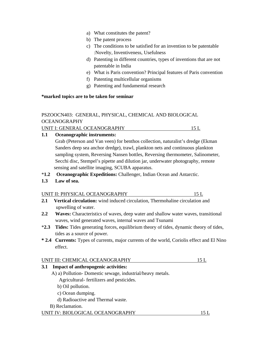- a) What constitutes the patent?
- b) The patent process
- c) The conditions to be satisfied for an invention to be patentable :Novelty, Inventiveness, Usefulness
- d) Patenting in different countries, types of inventions that are not patentable in India
- e) What is Paris convention? Principal features of Paris convention
- f) Patenting multicellular organisms
- g) Patenting and fundamental research

### **\*marked topics are to be taken for seminar**

# PSZOOCN403: GENERAL, PHYSICAL, CHEMICAL AND BIOLOGICAL OCEANOGRAPHY

UNIT I: GENERAL OCEANOGRAPHY 15 L

# **1.1 Oceanographic instruments:**

 Grab (Peterson and Van veen) for benthos collection, naturalist's dredge (Ekman Sanders deep sea anchor dredge), trawl, plankton nets and continuous plankton sampling system, Reversing Nansen bottles, Reversing thermometer, Salinometer, Secchi disc, Stempel's pipette and dilution jar, underwater photography, remote sensing and satellite imaging, SCUBA apparatus.

- \***1.2 Oceanographic Expeditions:** Challenger, Indian Ocean and Antarctic.
- **1.3 Law of sea.**

# UNIT II: PHYSICAL OCEANOGRAPHY 15 L

- **2.1 Vertical circulation:** wind induced circulation, Thermohaline circulation and upwelling of water.
- **2.2 Waves:** Characteristics of waves, deep water and shallow water waves, transitional waves, wind generated waves, internal waves and Tsunami
- \***2.3 Tides:** Tides generating forces, equilibrium theory of tides, dynamic theory of tides, tides as a source of power.
- **\* 2.4 Currents:** Types of currents, major currents of the world, Coriolis effect and El Nino effect.

# UNIT III: CHEMICAL OCEANOGRAPHY 15 L

# **3.1 Impact of anthropogenic activities:**

- A) a) Pollution- Domestic sewage, industrial/heavy metals.
	- Agricultural- fertilizers and pesticides.
	- b) Oil pollution.
	- c) Ocean dumping.
	- d) Radioactive and Thermal waste.
- B) Reclamation.

### UNIT IV: BIOLOGICAL OCEANOGRAPHY 15 L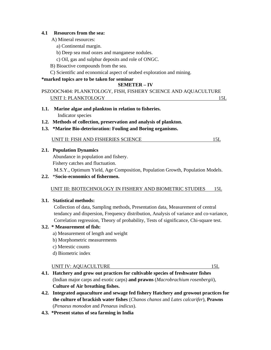### **4.1 Resources from the sea:**

- A) Mineral resources:
	- a) Continental margin.
	- b) Deep sea mud oozes and manganese nodules.
	- c) Oil, gas and sulphur deposits and role of ONGC.
- B) Bioactive compounds from the sea.
- C) Scientific and economical aspect of seabed exploration and mining.

### **\*marked topics are to be taken for seminar**

# **SEMETER – IV**

# PSZOOCN404: PLANKTOLOGY, FISH, FISHERY SCIENCE AND AQUACULTURE UNIT I: PLANKTOLOGY 15L

- **1.1. Marine algae and plankton in relation to fisheries.**  Indicator species
- **1.2. Methods of collection, preservation and analysis of plankton.**
- **1.3. \*Marine Bio-deterioration: Fouling and Boring organisms.** 
	- UNIT II: FISH AND FISHERIES SCIENCE 15L

### **2.1. Population Dynamics**

 Abundance in population and fishery. Fishery catches and fluctuation.

M.S.Y., Optimum Yield, Age Composition, Population Growth, Population Models.

### **2.2.** \***Socio-economics of fishermen.**

### UNIT III: BIOTECHNOLOGY IN FISHERY AND BIOMETRIC STUDIES 15L

### **3.1. Statistical methods:**

 Collection of data, Sampling methods, Presentation data, Measurement of central tendancy and dispersion, Frequency distribution, Analysis of variance and co-variance, Correlation regression, Theory of probability, Tests of significance, Chi-square test.

### **3.2. \* Measurement of fish:**

- a) Measurement of length and weight
- b) Morphometric measurements
- c) Merestic counts
- d) Biometric index

### UNIT IV: AQUACULTURE 15L

- **4.1. Hatchery and grow out practices for cultivable species of freshwater fishes** (Indian major carps and exotic carps) **and prawns** (*Macrobrachium rosenbergii*), **Culture of Air breathing fishes.**
- **4.2. Integrated aquaculture and sewage fed fishery Hatchery and growout practices for the culture of brackish water fishes** (*Chanos chanos* and *Lates calcarifer*), **Prawns** (*Penaeus monodon* and *Penaeus indicus*).
- **4.3. \*Present status of sea farming in India**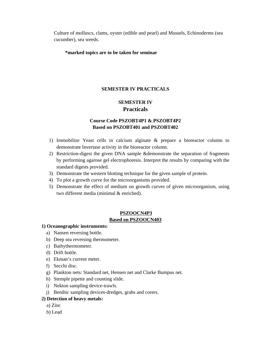Culture of molluscs, clams, oyster (edible and pearl) and Mussels, Echinoderms (sea cucumber), sea weeds.

#### **\*marked topics are to be taken for seminar**

### **SEMESTER IV PRACTICALS**

# **SEMESTER IV Practicals**

# **Course Code PSZOBT4P1 & PSZOBT4P2 Based on PSZOBT401 and PSZOBT402**

- 1) Immobilize Yeast cells in calcium alginate & prepare a bioreactor column to demonstrate Invertase activity in the bioreactor column.
- 2) Restriction-digest the given DNA sample &demonstrate the separation of fragments by performing agarose gel electrophoresis. Interpret the results by comparing with the standard digests provided.
- 3) Demonstrate the western blotting technique for the given sample of protein.
- 4) To plot a growth curve for the microorganisms provided.
- 5) Demonstrate the effect of medium on growth curves of given microorganism, using two different media (minimal & enriched).

# **PSZOOCN4P3**

### **Based on PSZOOCN403**

### **1) Oceanographic instruments:**

- a) Nansen reversing bottle.
- b) Deep sea reversing thermometer.
- c) Bathythermometer.
- d) Drift bottle.
- e) Ekman's current meter.
- f) Secchi disc.
- g) Plankton nets: Standard net, Hensen net and Clarke Bumpus net.
- h) Stemple pipette and counting slide.
- i) Nekton sampling device-trawls.
- j) Benthic sampling devices-dredges, grabs and corers.

### **2) Detection of heavy metals:**

- a) Zinc
- b) Lead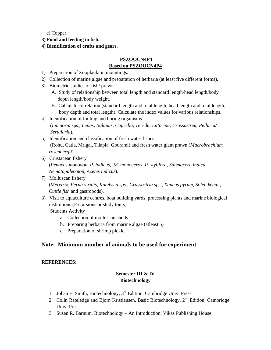c) Copper.

- **3) Food and feeding in fish.**
- **4) Identification of crafts and gears.**

# **PSZOOCN4P4 Based on PSZOOCN4P4**

- 1) Preparation of Zooplankton mountings.
- 2) Collection of marine algae and preparation of herbaria (at least five different forms).
- 3) Biometric studies of fish/ prawn
	- A. Study of relationship between total length and standard length/head length/body depth length/body weight.
	- B. Calculate correlation (standard length and total length, head length and total length, body depth and total length). Calculate the index values for various relationships.
- 4) Identification of fouling and boring organisms (*Limnoria* sps., *Lepas, Balanus, Caprella, Teredo, Littorina, Crassostrea, Pellaria/ Sertularia*).
- 5) Identification and classification of fresh water fishes (Rohu, Catla, Mrigal, Tilapia, Gourami) and fresh water giant prawn (*Macrobrachium rosenbergii*).
- 6) Crustacean fishery (*Penaeus monodon, P. indicus, M. monoceros, P. stylifera, Solenocera indica, Nematopaleomon, Acetes indicus*).
- 7) Molluscan fishery (*Meretrix, Perna viridis, Katelysia sps., Crassostria sps., Xancus pyrum, Solen kempi, Cuttle fish* and gastropods).
- 8) Visit to aquaculture centres, boat building yards, processing plants and marine biological institutions (Excursions or study tours)

Students Activity

- a. Collection of molluscan shells
- b. Preparing herbaria from marine algae (atleast 5)
- c. Preparation of shrimp pickle

# **Note: Minimum number of animals to be used for experiment**

# **REFERENCES:**

# **Semester III & IV Biotechnology**

- 1. Johan E. Smith, Biotechnology,  $3<sup>rd</sup>$  Edition, Cambridge Univ. Press
- 2. Colin Rateledge and Bjorn Kristiansen, Basic Biotechnology, 2<sup>nd</sup> Edition, Cambridge Univ. Press
- 3. Susan R. Barnum, Biotechnology An Introduction, Vikas Publishing House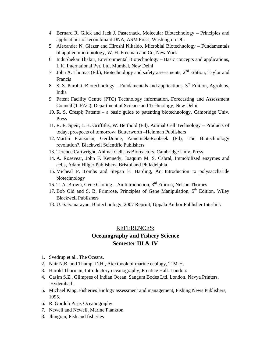- 4. Bernard R. Glick and Jack J. Pasternack, Molecular Biotechnology Principles and applications of recombinant DNA, ASM Press, Washington DC.
- 5. Alexander N. Glazer and Hiroshi Nikaido, Microbial Biotechnology Fundamentals of applied microbiology, W. H. Freeman and Co, New York
- 6. InduShekar Thakur, Environmental Biotechnology Basic concepts and applications, I. K. International Pvt. Ltd, Mumbai, New Delhi
- 7. John A. Thomas (Ed.), Biotechnology and safety assessments, 2<sup>nd</sup> Edition, Taylor and Francis
- 8. S. S. Purohit, Biotechnology Fundamentals and applications,  $3<sup>rd</sup>$  Edition, Agrobios, India
- 9. Patent Facility Centre (PTC) Technology information, Forecasting and Assessment Council (TIFAC), Department of Science and Technology, New Delhi
- 10. R. S. Crespi; Patents a basic guide to patenting biotechnology, Cambridge Univ. Press
- 11. R. E. Speir, J. B. Griffiths, W. Berthold (Ed), Animal Cell Technology Products of today, prospects of tomorrow, Butterworth –Heinman Publishers
- 12. Martin Fransman, GerdJunne, AnnemiekeRoobeek (Ed), The Biotechnology revolution?, Blackwell Scientific Publishers
- 13. Terence Cartwright, Animal Cells as Bioreactors, Cambridge Univ. Press
- 14. A. Rosevear, John F. Kennedy, Joaquim M. S. Cabral, Immobilized enzymes and cells, Adam Hilger Publishers, Bristol and Philadelphia
- 15. Micheal P. Tombs and Stepan E. Harding, An Introduction to polysaccharide biotechnology
- 16. T. A. Brown, Gene Cloning An Introduction, 3rd Edition, Nelson Thornes
- 17. Bob Old and S. B. Primrose, Principles of Gene Manipulation,  $5<sup>th</sup>$  Edition, Wiley Blackwell Publishers
- 18. U. Satyanarayan, Biotechnology, 2007 Reprint, Uppala Author Publisher Interlink

### REFERENCES:

# **Oceanography and Fishery Science Semester III & IV**

- 1. Svedrup et al., The Oceans.
- 2. Nair N.B. and Thampi D.H., Atextbook of marine ecology, T-M-H.
- 3. Harold Thurman, Introductory oceanography, Prentice Hall. London.
- 4. Qasim S.Z., Glimpses of Indian Ocean, Sangum Bodes Ltd. London. Navya Printers, Hyderabad.
- 5. Michael King, Fisheries Biology assessment and management, Fishing News Publishers, 1995.
- 6. R. Gordob Pirje, Oceanography.
- 7. Newell and Newell, Marine Plankton.
- 8. Jhingran, Fish and fisheries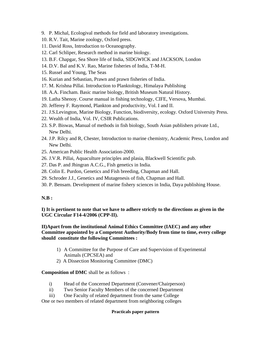- 9. P. Michal, Ecologival methods for field and laboratory investigations.
- 10. R.V. Tait, Marine zoology, Oxford press.
- 11. David Ross, Introduction to Oceanography.
- 12. Carl Schliper, Research method in marine biology.
- 13. B.F. Chapgar, Sea Shore life of India, SIDGWICK and JACKSON, London
- 14. D.V. Bal and K.V. Rao, Marine fisheries of India, T-M-H.
- 15. Russel and Young, The Seas
- 16. Kurian and Sebastian, Prawn and prawn fisheries of India.
- 17. M. Krishna Pillai. Introduction to Planktology, Himalaya Publishing
- 18. A.A. Fincham. Basic marine biology, British Museum Natural History.
- 19. Latha Shenoy. Course manual in fishing technology, CIFE, Versova, Mumbai.
- 20. Jefferey F. Raymond, Plankton and productivity, Vol. I and II.
- 21. J.S.Levington, Marine Biology, Function, biodiversity, ecology. Oxford University Press.
- 22. Wealth of India, Vol. IV, CSIR Publications.
- 23. S.P. Biswas, Manual of methods in fish biology, South Asian publishers private Ltd., New Delhi.
- 24. J.P. Rilcy and R, Chester, Introduction to marine chemistry, Academic Press, London and New Delhi.
- 25. American Public Health Association-2000.
- 26. J.V.R. Pillai, Aquaculture principles and plasia, Blackwell Scientific pub.
- 27. Das P. and Jhingran A.C.G., Fish genetics in India.
- 28. Colin E. Purdon, Genetics and Fish breeding, Chapman and Hall.
- 29. Schroder J.J., Genetics and Mutagenesis of fish, Chapman and Hall.
- 30. P. Bensam. Development of marine fishery sciences in India, Daya publishing House.

### **N.B :**

**I) It is pertinent to note that we have to adhere strictly to the directions as given in the UGC Circular F14-4/2006 (CPP-II).** 

**II)Apart from the institutional Animal Ethics Committee (IAEC) and any other Committee appointed by a Competent Authority/Body from time to time, every college should constitute the following Committees :** 

- 1) A Committee for the Purpose of Care and Supervision of Experimental Animals (CPCSEA) and
- 2) A Dissection Monitoring Committee (DMC)

#### **Composition of DMC** shall be as follows :

- i) Head of the Concerned Department (Convener/Chairperson)
- ii) Two Senior Faculty Members of the concerned Department
- iii) One Faculty of related department from the same College

One or two members of related department from neighboring colleges

#### **Practicals paper pattern**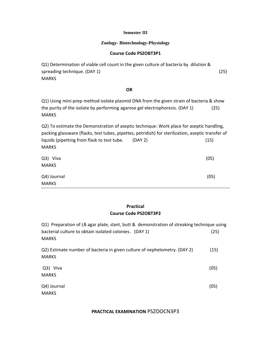#### **Semester III**

#### **Zoology- Biotechnology-Physiology**

#### **Course Code PSZOBT3P1**

Q1) Determination of viable cell count in the given culture of bacteria by dilution & spreading technique. (DAY 1) (25) MARKS

### $\overline{OR}$

Q1) Using mini-prep method isolate plasmid DNA from the given strain of bacteria & show the purity of the isolate by performing agarose gel electrophoresis. (DAY 1) (25) MARKS

Q2) To estimate the Demonstration of aseptic technique: Work place for aseptic handling, packing glassware (flasks, test tubes, pipettes, petridish) for sterilization, aseptic transfer of liquids (pipetting from flask to test tube. (DAY 2) (15) MARKS Q3) Viva (05) MARKS Q4) Journal (05) MARKS

# **Practical Course Code PSZOBT3P2**

| Q1) Preparation of LB agar plate, slant, butt & demonstration of streaking technique using |      |
|--------------------------------------------------------------------------------------------|------|
| bacterial culture to obtain isolated colonies. (DAY 1)                                     | (25) |
| <b>MARKS</b>                                                                               |      |
| Q2) Estimate number of bacteria in given culture of nephelometry. (DAY 2)                  | (15) |
| <b>MARKS</b>                                                                               |      |
| Q3) Viva                                                                                   | (05) |
| <b>MARKS</b>                                                                               |      |
| Q4) Journal                                                                                | (05) |
| <b>MARKS</b>                                                                               |      |
|                                                                                            |      |

**PRACTICAL EXAMINATION** PSZOOCN3P3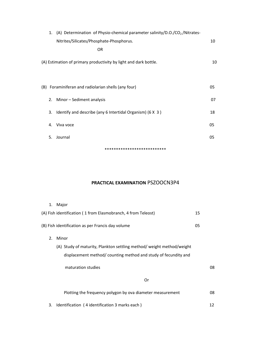|       |    | Nitrites/Silicates/Phosphate-Phosphorus.                         | 10 |
|-------|----|------------------------------------------------------------------|----|
|       |    | 0R                                                               |    |
|       |    | (A) Estimation of primary productivity by light and dark bottle. | 10 |
| (B) - |    | Foraminiferan and radiolarian shells (any four)                  | 05 |
|       |    | 2. Minor - Sediment analysis                                     | 07 |
|       | 3. | Identify and describe (any 6 Intertidal Organism) (6 X 3)        | 18 |
|       | 4. | Viva voce                                                        | 05 |
|       | 5. | Journal                                                          | 05 |
|       |    | **************************                                       |    |

# **PRACTICAL EXAMINATION** PSZOOCN3P4

|    | 1. Major                                                             |    |  |
|----|----------------------------------------------------------------------|----|--|
|    | (A) Fish identification (1 from Elasmobranch, 4 from Teleost)        | 15 |  |
|    | (B) Fish identification as per Francis day volume                    | 05 |  |
| 2. | Minor                                                                |    |  |
|    | (A) Study of maturity, Plankton settling method/weight method/weight |    |  |
|    | displacement method/counting method and study of fecundity and       |    |  |
|    | maturation studies                                                   | 08 |  |
|    | Or                                                                   |    |  |
|    | Plotting the frequency polygon by ova diameter measurement           | 08 |  |
| 3. | Identification (4 identification 3 marks each)                       | 12 |  |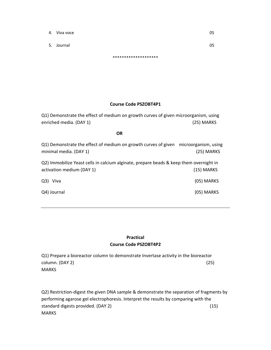- 4. Viva voce  $0.5$
- 5. Journal 05

\*\*\*\*\*\*\*\*\*\*\*\*\*\*\*\*\*\*\*\*

### **Course Code PSZOBT4P1**

Q1) Demonstrate the effect of medium on growth curves of given microorganism, using enriched media. (DAY 1) (25) MARKS

**OR** 

Q1) Demonstrate the effect of medium on growth curves of given microorganism, using minimal media. (DAY 1) (25) MARKS

Q2) Immobilize Yeast cells in calcium alginate, prepare beads & keep them overnight in activation medium (DAY 1) (15) MARKS

| Q3) Viva    | (05) MARKS |
|-------------|------------|
| Q4) Journal | (05) MARKS |

# **Practical Course Code PSZOBT4P2**

Q1) Prepare a bioreactor column to demonstrate Invertase activity in the bioreactor  $\text{column. (DAY 2)}$  (25) MARKS

Q2) Restriction-digest the given DNA sample & demonstrate the separation of fragments by performing agarose gel electrophoresis. Interpret the results by comparing with the standard digests provided. (DAY 2) (15) **MARKS**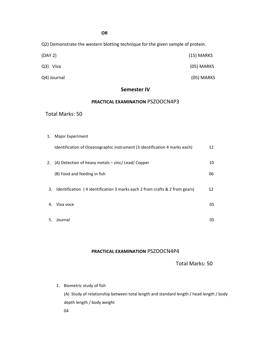Q2) Demonstrate the western blotting technique for the given sample of protein.

| (DAY 2)     | $(15)$ MARKS |
|-------------|--------------|
| Q3) Viva    | (05) MARKS   |
| Q4) Journal | (05) MARKS   |

### **Semester IV**

#### **PRACTICAL EXAMINATION** PSZOOCN4P3

#### Total Marks: 50

1. Major Experiment Identification of Oceanographic instrument (3 identification 4 marks each) 12 2. (A) Detection of heavy metals – zinc/ Lead/ Copper 10 (B) Food and feeding in fish 06 3. Identification (4 identification 3 marks each 2 from crafts & 2 from gears) 12 4. Viva voce and the set of the set of the set of the set of the set of the set of the set of the set of the set of the set of the set of the set of the set of the set of the set of the set of the set of the set of the set  $5.$  Journal  $05$ 

### **PRACTICAL EXAMINATION** PSZOOCN4P4

Total Marks: 50

1. Biometric study of fish

(A) Study of relationship between total length and standard length / head length / body depth length / body weight 04

**OR**